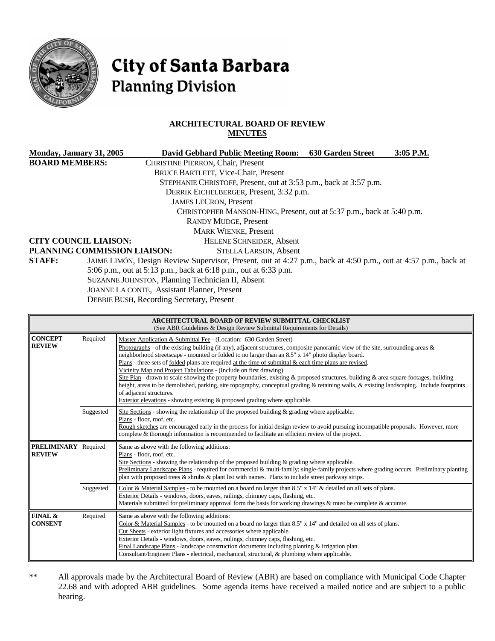

# City of Santa Barbara **Planning Division**

# **ARCHITECTURAL BOARD OF REVIEW MINUTES**

| Monday, January 31, 2005                                                                                                            |                              |                                                    | <b>David Gebhard Public Meeting Room:</b>                                                                      | <b>630 Garden Street</b> | $3:05$ P.M. |
|-------------------------------------------------------------------------------------------------------------------------------------|------------------------------|----------------------------------------------------|----------------------------------------------------------------------------------------------------------------|--------------------------|-------------|
| <b>BOARD MEMBERS:</b>                                                                                                               |                              | <b>CHRISTINE PIERRON, Chair, Present</b>           |                                                                                                                |                          |             |
|                                                                                                                                     |                              |                                                    | <b>BRUCE BARTLETT, Vice-Chair, Present</b>                                                                     |                          |             |
|                                                                                                                                     |                              |                                                    | STEPHANIE CHRISTOFF, Present, out at 3:53 p.m., back at 3:57 p.m.                                              |                          |             |
|                                                                                                                                     |                              |                                                    | DERRIK EICHELBERGER, Present, 3:32 p.m.                                                                        |                          |             |
|                                                                                                                                     |                              |                                                    | <b>JAMES LECRON, Present</b>                                                                                   |                          |             |
| CHRISTOPHER MANSON-HING, Present, out at 5:37 p.m., back at 5:40 p.m.<br><b>RANDY MUDGE, Present</b><br><b>MARK WIENKE, Present</b> |                              |                                                    |                                                                                                                |                          |             |
|                                                                                                                                     |                              |                                                    |                                                                                                                |                          |             |
|                                                                                                                                     |                              |                                                    |                                                                                                                |                          |             |
|                                                                                                                                     | <b>CITY COUNCIL LIAISON:</b> |                                                    | HELENE SCHNEIDER, Absent                                                                                       |                          |             |
|                                                                                                                                     | PLANNING COMMISSION LIAISON: |                                                    | <b>STELLA LARSON, Absent</b>                                                                                   |                          |             |
| <b>STAFF:</b>                                                                                                                       |                              |                                                    | JAIME LIMÓN, Design Review Supervisor, Present, out at 4:27 p.m., back at 4:50 p.m., out at 4:57 p.m., back at |                          |             |
|                                                                                                                                     |                              |                                                    | 5:06 p.m., out at 5:13 p.m., back at 6:18 p.m., out at 6:33 p.m.                                               |                          |             |
|                                                                                                                                     |                              | SUZANNE JOHNSTON, Planning Technician II, Absent   |                                                                                                                |                          |             |
|                                                                                                                                     |                              | <b>JOANNE LA CONTE, Assistant Planner, Present</b> |                                                                                                                |                          |             |

DEBBIE BUSH, Recording Secretary, Present

|                                                                                                                                                                                                                                                                                                                                                                                                                                                                                                                        |           | <b>ARCHITECTURAL BOARD OF REVIEW SUBMITTAL CHECKLIST</b><br>(See ABR Guidelines & Design Review Submittal Requirements for Details)                                                                                                                                                                                                                                                                                                                                                                                                |
|------------------------------------------------------------------------------------------------------------------------------------------------------------------------------------------------------------------------------------------------------------------------------------------------------------------------------------------------------------------------------------------------------------------------------------------------------------------------------------------------------------------------|-----------|------------------------------------------------------------------------------------------------------------------------------------------------------------------------------------------------------------------------------------------------------------------------------------------------------------------------------------------------------------------------------------------------------------------------------------------------------------------------------------------------------------------------------------|
| <b>CONCEPT</b><br>Required<br>Master Application & Submittal Fee - (Location: 630 Garden Street)<br><b>REVIEW</b><br>neighborhood streetscape - mounted or folded to no larger than an 8.5" x 14" photo display board.<br>Plans - three sets of folded plans are required at the time of submittal $\&$ each time plans are revised.<br>Vicinity Map and Project Tabulations - (Include on first drawing)<br>of adjacent structures.<br>Exterior elevations - showing existing $\&$ proposed grading where applicable. |           | Photographs - of the existing building (if any), adjacent structures, composite panoramic view of the site, surrounding areas $\&$<br>Site Plan - drawn to scale showing the property boundaries, existing & proposed structures, building & area square footages, building<br>height, areas to be demolished, parking, site topography, conceptual grading & retaining walls, & existing landscaping. Include footprints                                                                                                          |
|                                                                                                                                                                                                                                                                                                                                                                                                                                                                                                                        | Suggested | Site Sections - showing the relationship of the proposed building $\&$ grading where applicable.<br>Plans - floor, roof, etc.<br>Rough sketches are encouraged early in the process for initial design review to avoid pursuing incompatible proposals. However, more<br>complete & thorough information is recommended to facilitate an efficient review of the project.                                                                                                                                                          |
| <b>PRELIMINARY</b><br><b>REVIEW</b>                                                                                                                                                                                                                                                                                                                                                                                                                                                                                    | Required  | Same as above with the following additions:<br>Plans - floor, roof, etc.<br>Site Sections - showing the relationship of the proposed building $\&$ grading where applicable.<br>Preliminary Landscape Plans - required for commercial & multi-family; single-family projects where grading occurs. Preliminary planting<br>plan with proposed trees $\&$ shrubs $\&$ plant list with names. Plans to include street parkway strips.                                                                                                |
|                                                                                                                                                                                                                                                                                                                                                                                                                                                                                                                        | Suggested | Color & Material Samples - to be mounted on a board no larger than 8.5" x 14" & detailed on all sets of plans.<br>Exterior Details - windows, doors, eaves, railings, chimney caps, flashing, etc.<br>Materials submitted for preliminary approval form the basis for working drawings & must be complete & accurate.                                                                                                                                                                                                              |
| <b>FINAL &amp;</b><br><b>CONSENT</b>                                                                                                                                                                                                                                                                                                                                                                                                                                                                                   | Required  | Same as above with the following additions:<br>Color & Material Samples - to be mounted on a board no larger than 8.5" x 14" and detailed on all sets of plans.<br>Cut Sheets - exterior light fixtures and accessories where applicable.<br>Exterior Details - windows, doors, eaves, railings, chimney caps, flashing, etc.<br>Final Landscape Plans - landscape construction documents including planting $\&$ irrigation plan.<br>Consultant/Engineer Plans - electrical, mechanical, structural, & plumbing where applicable. |

\*\* All approvals made by the Architectural Board of Review (ABR) are based on compliance with Municipal Code Chapter 22.68 and with adopted ABR guidelines. Some agenda items have received a mailed notice and are subject to a public hearing.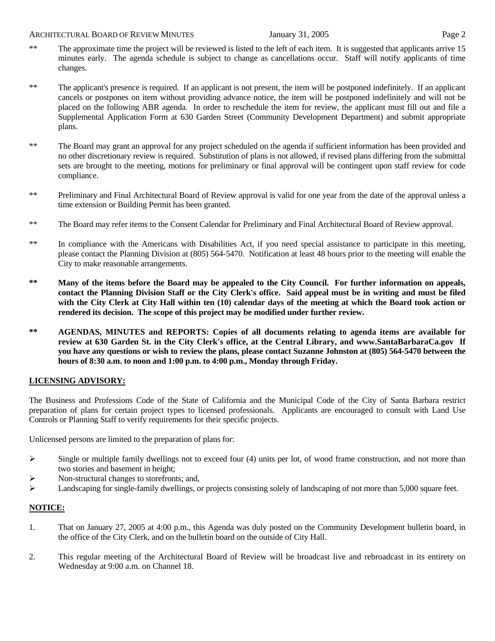#### ARCHITECTURAL BOARD OF REVIEW MINUTES **First** January 31, 2005 **Page 2**

# \*\* The approximate time the project will be reviewed is listed to the left of each item. It is suggested that applicants arrive 15 minutes early. The agenda schedule is subject to change as cancellations occur. Staff will notify applicants of time changes.

- \*\* The applicant's presence is required. If an applicant is not present, the item will be postponed indefinitely. If an applicant cancels or postpones on item without providing advance notice, the item will be postponed indefinitely and will not be placed on the following ABR agenda. In order to reschedule the item for review, the applicant must fill out and file a Supplemental Application Form at 630 Garden Street (Community Development Department) and submit appropriate plans.
- \*\* The Board may grant an approval for any project scheduled on the agenda if sufficient information has been provided and no other discretionary review is required. Substitution of plans is not allowed, if revised plans differing from the submittal sets are brought to the meeting, motions for preliminary or final approval will be contingent upon staff review for code compliance.
- \*\* Preliminary and Final Architectural Board of Review approval is valid for one year from the date of the approval unless a time extension or Building Permit has been granted.
- \*\* The Board may refer items to the Consent Calendar for Preliminary and Final Architectural Board of Review approval.
- \*\* In compliance with the Americans with Disabilities Act, if you need special assistance to participate in this meeting, please contact the Planning Division at (805) 564-5470. Notification at least 48 hours prior to the meeting will enable the City to make reasonable arrangements.
- **\*\* Many of the items before the Board may be appealed to the City Council. For further information on appeals, contact the Planning Division Staff or the City Clerk's office. Said appeal must be in writing and must be filed with the City Clerk at City Hall within ten (10) calendar days of the meeting at which the Board took action or rendered its decision. The scope of this project may be modified under further review.**
- **\*\* AGENDAS, MINUTES and REPORTS: Copies of all documents relating to agenda items are available for review at 630 Garden St. in the City Clerk's office, at the Central Library, and www.SantaBarbaraCa.gov If you have any questions or wish to review the plans, please contact Suzanne Johnston at (805) 564-5470 between the hours of 8:30 a.m. to noon and 1:00 p.m. to 4:00 p.m., Monday through Friday.**

# **LICENSING ADVISORY:**

The Business and Professions Code of the State of California and the Municipal Code of the City of Santa Barbara restrict preparation of plans for certain project types to licensed professionals. Applicants are encouraged to consult with Land Use Controls or Planning Staff to verify requirements for their specific projects.

Unlicensed persons are limited to the preparation of plans for:

- $\triangleright$  Single or multiple family dwellings not to exceed four (4) units per lot, of wood frame construction, and not more than two stories and basement in height;
- ¾ Non-structural changes to storefronts; and,
- $\blacktriangleright$  Landscaping for single-family dwellings, or projects consisting solely of landscaping of not more than 5,000 square feet.

## **NOTICE:**

- 1. That on January 27, 2005 at 4:00 p.m., this Agenda was duly posted on the Community Development bulletin board, in the office of the City Clerk, and on the bulletin board on the outside of City Hall.
- 2. This regular meeting of the Architectural Board of Review will be broadcast live and rebroadcast in its entirety on Wednesday at 9:00 a.m. on Channel 18.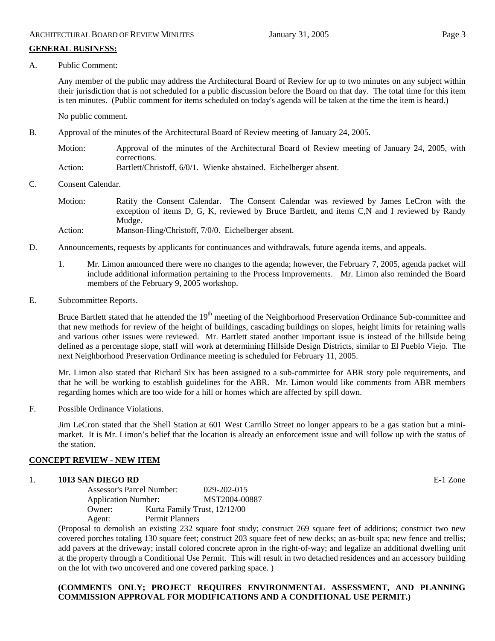## **GENERAL BUSINESS:**

A. Public Comment:

Any member of the public may address the Architectural Board of Review for up to two minutes on any subject within their jurisdiction that is not scheduled for a public discussion before the Board on that day. The total time for this item is ten minutes. (Public comment for items scheduled on today's agenda will be taken at the time the item is heard.)

No public comment.

- B. Approval of the minutes of the Architectural Board of Review meeting of January 24, 2005.
	- Motion: Approval of the minutes of the Architectural Board of Review meeting of January 24, 2005, with corrections.

Action: Bartlett/Christoff, 6/0/1. Wienke abstained. Eichelberger absent.

- C. Consent Calendar.
	- Motion: Ratify the Consent Calendar. The Consent Calendar was reviewed by James LeCron with the exception of items D, G, K, reviewed by Bruce Bartlett, and items C,N and I reviewed by Randy Mudge.
	- Action: Manson-Hing/Christoff, 7/0/0. Eichelberger absent.
- D. Announcements, requests by applicants for continuances and withdrawals, future agenda items, and appeals.
	- 1. Mr. Limon announced there were no changes to the agenda; however, the February 7, 2005, agenda packet will include additional information pertaining to the Process Improvements. Mr. Limon also reminded the Board members of the February 9, 2005 workshop.
- E. Subcommittee Reports.

Bruce Bartlett stated that he attended the 19<sup>th</sup> meeting of the Neighborhood Preservation Ordinance Sub-committee and that new methods for review of the height of buildings, cascading buildings on slopes, height limits for retaining walls and various other issues were reviewed. Mr. Bartlett stated another important issue is instead of the hillside being defined as a percentage slope, staff will work at determining Hillside Design Districts, similar to El Pueblo Viejo. The next Neighborhood Preservation Ordinance meeting is scheduled for February 11, 2005.

Mr. Limon also stated that Richard Six has been assigned to a sub-committee for ABR story pole requirements, and that he will be working to establish guidelines for the ABR. Mr. Limon would like comments from ABR members regarding homes which are too wide for a hill or homes which are affected by spill down.

F. Possible Ordinance Violations.

Jim LeCron stated that the Shell Station at 601 West Carrillo Street no longer appears to be a gas station but a minimarket. It is Mr. Limon's belief that the location is already an enforcement issue and will follow up with the status of the station.

## **CONCEPT REVIEW - NEW ITEM**

## 1. **1013 SAN DIEGO RD** E-1 Zone

 Assessor's Parcel Number: 029-202-015 Application Number: MST2004-00887 Owner: Kurta Family Trust, 12/12/00 Agent: Permit Planners

(Proposal to demolish an existing 232 square foot study; construct 269 square feet of additions; construct two new covered porches totaling 130 square feet; construct 203 square feet of new decks; an as-built spa; new fence and trellis; add pavers at the driveway; install colored concrete apron in the right-of-way; and legalize an additional dwelling unit at the property through a Conditional Use Permit. This will result in two detached residences and an accessory building on the lot with two uncovered and one covered parking space. )

## **(COMMENTS ONLY; PROJECT REQUIRES ENVIRONMENTAL ASSESSMENT, AND PLANNING COMMISSION APPROVAL FOR MODIFICATIONS AND A CONDITIONAL USE PERMIT.)**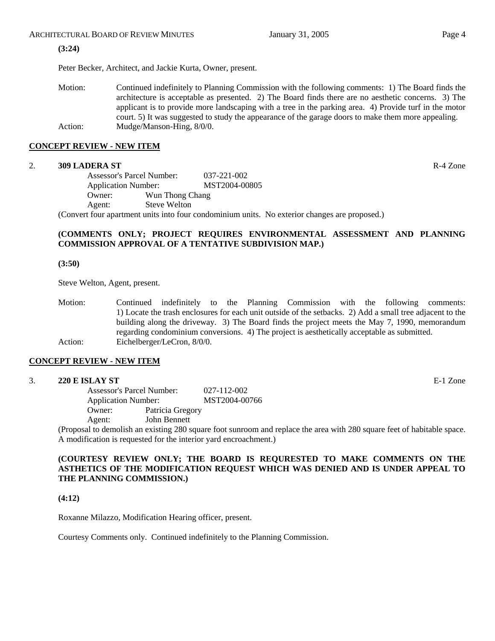#### ARCHITECTURAL BOARD OF REVIEW MINUTES January 31, 2005 **Page 4**

**(3:24)** 

Peter Becker, Architect, and Jackie Kurta, Owner, present.

Motion: Continued indefinitely to Planning Commission with the following comments: 1) The Board finds the architecture is acceptable as presented. 2) The Board finds there are no aesthetic concerns. 3) The applicant is to provide more landscaping with a tree in the parking area. 4) Provide turf in the motor court. 5) It was suggested to study the appearance of the garage doors to make them more appealing. Action: Mudge/Manson-Hing,  $8/0/0$ .

## **CONCEPT REVIEW - NEW ITEM**

#### 2. **309 LADERA ST** R-4 Zone

 Assessor's Parcel Number: 037-221-002 Application Number: MST2004-00805 Owner: Wun Thong Chang Agent: Steve Welton (Convert four apartment units into four condominium units. No exterior changes are proposed.)

## **(COMMENTS ONLY; PROJECT REQUIRES ENVIRONMENTAL ASSESSMENT AND PLANNING COMMISSION APPROVAL OF A TENTATIVE SUBDIVISION MAP.)**

**(3:50)** 

Steve Welton, Agent, present.

Motion: Continued indefinitely to the Planning Commission with the following comments: 1) Locate the trash enclosures for each unit outside of the setbacks. 2) Add a small tree adjacent to the building along the driveway. 3) The Board finds the project meets the May 7, 1990, memorandum regarding condominium conversions. 4) The project is aesthetically acceptable as submitted. Action: Eichelberger/LeCron, 8/0/0.

#### **CONCEPT REVIEW - NEW ITEM**

#### 3. **220 E ISLAY ST** E-1 Zone

 Assessor's Parcel Number: 027-112-002 Application Number: MST2004-00766 Owner: Patricia Gregory Agent: John Bennett

(Proposal to demolish an existing 280 square foot sunroom and replace the area with 280 square feet of habitable space. A modification is requested for the interior yard encroachment.)

## **(COURTESY REVIEW ONLY; THE BOARD IS REQURESTED TO MAKE COMMENTS ON THE ASTHETICS OF THE MODIFICATION REQUEST WHICH WAS DENIED AND IS UNDER APPEAL TO THE PLANNING COMMISSION.)**

**(4:12)** 

Roxanne Milazzo, Modification Hearing officer, present.

Courtesy Comments only. Continued indefinitely to the Planning Commission.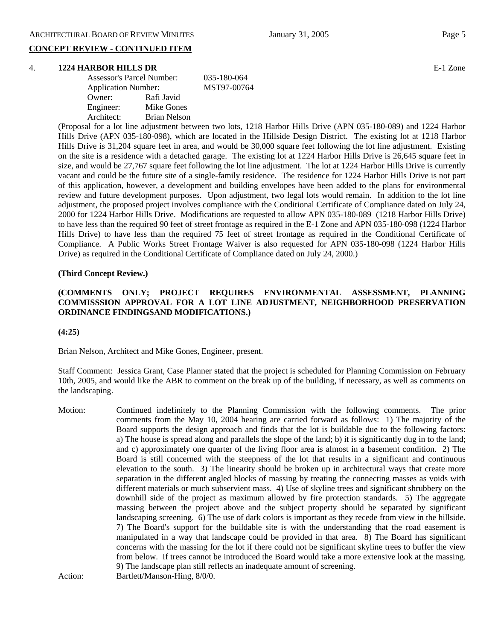## **CONCEPT REVIEW - CONTINUED ITEM**

#### 4. **1224 HARBOR HILLS DR** E-1 Zone

|            | Assessor's Parcel Number:  |  |
|------------|----------------------------|--|
|            | <b>Application Number:</b> |  |
| Owner:     | Rafi Javid                 |  |
| Engineer:  | Mike Gones                 |  |
| Architect: | Brian Nelson               |  |

(Proposal for a lot line adjustment between two lots, 1218 Harbor Hills Drive (APN 035-180-089) and 1224 Harbor Hills Drive (APN 035-180-098), which are located in the Hillside Design District. The existing lot at 1218 Harbor Hills Drive is 31,204 square feet in area, and would be 30,000 square feet following the lot line adjustment. Existing on the site is a residence with a detached garage. The existing lot at 1224 Harbor Hills Drive is 26,645 square feet in size, and would be 27,767 square feet following the lot line adjustment. The lot at 1224 Harbor Hills Drive is currently vacant and could be the future site of a single-family residence. The residence for 1224 Harbor Hills Drive is not part of this application, however, a development and building envelopes have been added to the plans for environmental review and future development purposes. Upon adjustment, two legal lots would remain. In addition to the lot line adjustment, the proposed project involves compliance with the Conditional Certificate of Compliance dated on July 24, 2000 for 1224 Harbor Hills Drive. Modifications are requested to allow APN 035-180-089 (1218 Harbor Hills Drive) to have less than the required 90 feet of street frontage as required in the E-1 Zone and APN 035-180-098 (1224 Harbor Hills Drive) to have less than the required 75 feet of street frontage as required in the Conditional Certificate of Compliance. A Public Works Street Frontage Waiver is also requested for APN 035-180-098 (1224 Harbor Hills Drive) as required in the Conditional Certificate of Compliance dated on July 24, 2000.)

#### **(Third Concept Review.)**

## **(COMMENTS ONLY; PROJECT REQUIRES ENVIRONMENTAL ASSESSMENT, PLANNING COMMISSSION APPROVAL FOR A LOT LINE ADJUSTMENT, NEIGHBORHOOD PRESERVATION ORDINANCE FINDINGSAND MODIFICATIONS.)**

**(4:25)** 

Brian Nelson, Architect and Mike Gones, Engineer, present.

Staff Comment: Jessica Grant, Case Planner stated that the project is scheduled for Planning Commission on February 10th, 2005, and would like the ABR to comment on the break up of the building, if necessary, as well as comments on the landscaping.

Motion: Continued indefinitely to the Planning Commission with the following comments. The prior comments from the May 10, 2004 hearing are carried forward as follows: 1) The majority of the Board supports the design approach and finds that the lot is buildable due to the following factors: a) The house is spread along and parallels the slope of the land; b) it is significantly dug in to the land; and c) approximately one quarter of the living floor area is almost in a basement condition. 2) The Board is still concerned with the steepness of the lot that results in a significant and continuous elevation to the south. 3) The linearity should be broken up in architectural ways that create more separation in the different angled blocks of massing by treating the connecting masses as voids with different materials or much subservient mass. 4) Use of skyline trees and significant shrubbery on the downhill side of the project as maximum allowed by fire protection standards. 5) The aggregate massing between the project above and the subject property should be separated by significant landscaping screening. 6) The use of dark colors is important as they recede from view in the hillside. 7) The Board's support for the buildable site is with the understanding that the road easement is manipulated in a way that landscape could be provided in that area. 8) The Board has significant concerns with the massing for the lot if there could not be significant skyline trees to buffer the view from below. If trees cannot be introduced the Board would take a more extensive look at the massing. 9) The landscape plan still reflects an inadequate amount of screening. Action: Bartlett/Manson-Hing,  $8/0/0$ .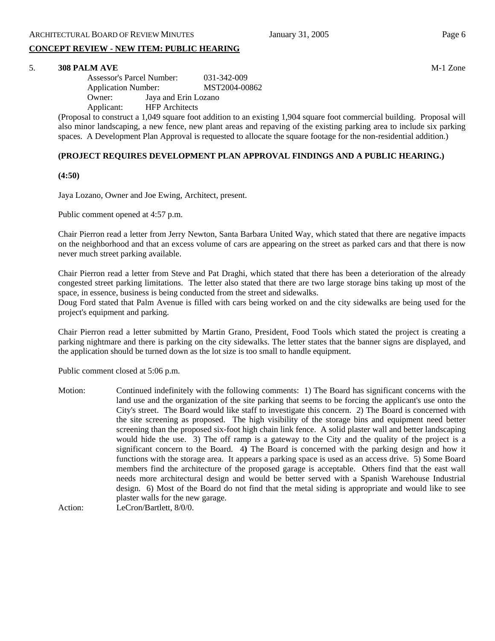## **CONCEPT REVIEW - NEW ITEM: PUBLIC HEARING**

#### 5. **308 PALM AVE** M-1 Zone

 Assessor's Parcel Number: 031-342-009 Application Number: MST2004-00862 Owner: Jaya and Erin Lozano Applicant: HFP Architects

(Proposal to construct a 1,049 square foot addition to an existing 1,904 square foot commercial building. Proposal will also minor landscaping, a new fence, new plant areas and repaving of the existing parking area to include six parking spaces. A Development Plan Approval is requested to allocate the square footage for the non-residential addition.)

## **(PROJECT REQUIRES DEVELOPMENT PLAN APPROVAL FINDINGS AND A PUBLIC HEARING.)**

## **(4:50)**

Jaya Lozano, Owner and Joe Ewing, Architect, present.

Public comment opened at 4:57 p.m.

Chair Pierron read a letter from Jerry Newton, Santa Barbara United Way, which stated that there are negative impacts on the neighborhood and that an excess volume of cars are appearing on the street as parked cars and that there is now never much street parking available.

Chair Pierron read a letter from Steve and Pat Draghi, which stated that there has been a deterioration of the already congested street parking limitations. The letter also stated that there are two large storage bins taking up most of the space, in essence, business is being conducted from the street and sidewalks.

Doug Ford stated that Palm Avenue is filled with cars being worked on and the city sidewalks are being used for the project's equipment and parking.

Chair Pierron read a letter submitted by Martin Grano, President, Food Tools which stated the project is creating a parking nightmare and there is parking on the city sidewalks. The letter states that the banner signs are displayed, and the application should be turned down as the lot size is too small to handle equipment.

Public comment closed at 5:06 p.m.

Motion: Continued indefinitely with the following comments: 1) The Board has significant concerns with the land use and the organization of the site parking that seems to be forcing the applicant's use onto the City's street. The Board would like staff to investigate this concern. 2) The Board is concerned with the site screening as proposed. The high visibility of the storage bins and equipment need better screening than the proposed six-foot high chain link fence. A solid plaster wall and better landscaping would hide the use. 3) The off ramp is a gateway to the City and the quality of the project is a significant concern to the Board. 4**)** The Board is concerned with the parking design and how it functions with the storage area.It appears a parking space is used as an access drive. 5) Some Board members find the architecture of the proposed garage is acceptable. Others find that the east wall needs more architectural design and would be better served with a Spanish Warehouse Industrial design. 6) Most of the Board do not find that the metal siding is appropriate and would like to see plaster walls for the new garage.

Action: LeCron/Bartlett, 8/0/0.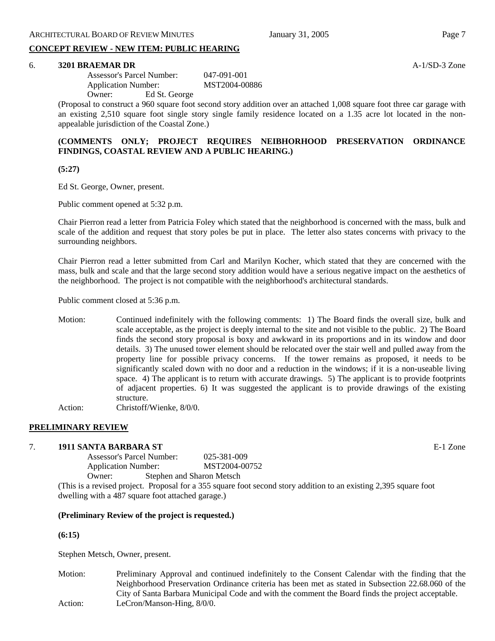## **CONCEPT REVIEW - NEW ITEM: PUBLIC HEARING**

#### 6. **3201 BRAEMAR DR** A-1/SD-3 Zone

|        | <b>Assessor's Parcel Number:</b> | 047-091-001   |
|--------|----------------------------------|---------------|
|        | <b>Application Number:</b>       | MST2004-00886 |
| Owner: | Ed St. George                    |               |

(Proposal to construct a 960 square foot second story addition over an attached 1,008 square foot three car garage with an existing 2,510 square foot single story single family residence located on a 1.35 acre lot located in the nonappealable jurisdiction of the Coastal Zone.)

## **(COMMENTS ONLY; PROJECT REQUIRES NEIBHORHOOD PRESERVATION ORDINANCE FINDINGS, COASTAL REVIEW AND A PUBLIC HEARING.)**

**(5:27)** 

Ed St. George, Owner, present.

Public comment opened at 5:32 p.m.

Chair Pierron read a letter from Patricia Foley which stated that the neighborhood is concerned with the mass, bulk and scale of the addition and request that story poles be put in place. The letter also states concerns with privacy to the surrounding neighbors.

Chair Pierron read a letter submitted from Carl and Marilyn Kocher, which stated that they are concerned with the mass, bulk and scale and that the large second story addition would have a serious negative impact on the aesthetics of the neighborhood. The project is not compatible with the neighborhood's architectural standards.

Public comment closed at 5:36 p.m.

- Motion: Continued indefinitely with the following comments: 1) The Board finds the overall size, bulk and scale acceptable, as the project is deeply internal to the site and not visible to the public. 2) The Board finds the second story proposal is boxy and awkward in its proportions and in its window and door details. 3) The unused tower element should be relocated over the stair well and pulled away from the property line for possible privacy concerns. If the tower remains as proposed, it needs to be significantly scaled down with no door and a reduction in the windows; if it is a non-useable living space. 4) The applicant is to return with accurate drawings. 5) The applicant is to provide footprints of adjacent properties. 6) It was suggested the applicant is to provide drawings of the existing structure.
- Action: Christoff/Wienke,  $8/0/0$ .

## **PRELIMINARY REVIEW**

#### 7. **1911 SANTA BARBARA ST** E-1 Zone

 Assessor's Parcel Number: 025-381-009 Application Number: MST2004-00752 Owner: Stephen and Sharon Metsch

(This is a revised project. Proposal for a 355 square foot second story addition to an existing 2,395 square foot dwelling with a 487 square foot attached garage.)

#### **(Preliminary Review of the project is requested.)**

**(6:15)** 

Stephen Metsch, Owner, present.

Motion: Preliminary Approval and continued indefinitely to the Consent Calendar with the finding that the Neighborhood Preservation Ordinance criteria has been met as stated in Subsection 22.68.060 of the City of Santa Barbara Municipal Code and with the comment the Board finds the project acceptable. Action: LeCron/Manson-Hing,  $8/0/0$ .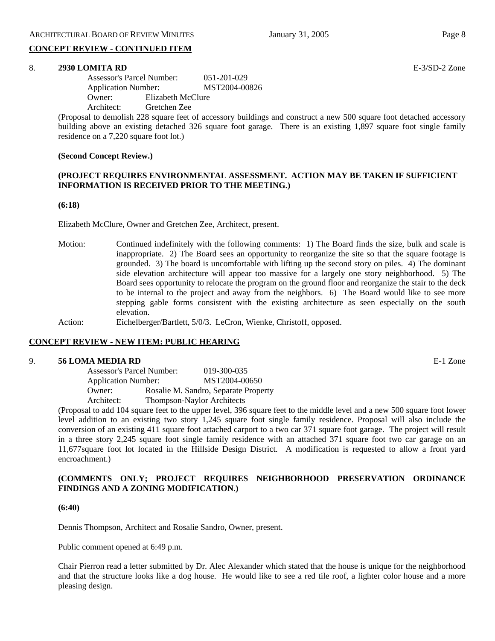# **CONCEPT REVIEW - CONTINUED ITEM**

#### 8. **2930 LOMITA RD** E-3/SD-2 Zone

 Assessor's Parcel Number: 051-201-029 Application Number: MST2004-00826 Owner: Elizabeth McClure Architect: Gretchen Zee

(Proposal to demolish 228 square feet of accessory buildings and construct a new 500 square foot detached accessory building above an existing detached 326 square foot garage. There is an existing 1,897 square foot single family residence on a 7,220 square foot lot.)

#### **(Second Concept Review.)**

#### **(PROJECT REQUIRES ENVIRONMENTAL ASSESSMENT. ACTION MAY BE TAKEN IF SUFFICIENT INFORMATION IS RECEIVED PRIOR TO THE MEETING.)**

**(6:18)** 

Elizabeth McClure, Owner and Gretchen Zee, Architect, present.

- Motion: Continued indefinitely with the following comments: 1) The Board finds the size, bulk and scale is inappropriate. 2) The Board sees an opportunity to reorganize the site so that the square footage is grounded. 3) The board is uncomfortable with lifting up the second story on piles. 4) The dominant side elevation architecture will appear too massive for a largely one story neighborhood. 5) The Board sees opportunity to relocate the program on the ground floor and reorganize the stair to the deck to be internal to the project and away from the neighbors.6) The Board would like to see more stepping gable forms consistent with the existing architecture as seen especially on the south elevation.
- Action: Eichelberger/Bartlett, 5/0/3. LeCron, Wienke, Christoff, opposed.

#### **CONCEPT REVIEW - NEW ITEM: PUBLIC HEARING**

#### 9. **56 LOMA MEDIA RD** E-1 Zone

| Assessor's Parcel Number:  | 019-300-035                          |  |
|----------------------------|--------------------------------------|--|
| <b>Application Number:</b> | MST2004-00650                        |  |
| Owner:                     | Rosalie M. Sandro, Separate Property |  |
| Architect:                 | Thompson-Naylor Architects           |  |

(Proposal to add 104 square feet to the upper level, 396 square feet to the middle level and a new 500 square foot lower level addition to an existing two story 1,245 square foot single family residence. Proposal will also include the conversion of an existing 411 square foot attached carport to a two car 371 square foot garage. The project will result in a three story 2,245 square foot single family residence with an attached 371 square foot two car garage on an 11,677square foot lot located in the Hillside Design District. A modification is requested to allow a front yard encroachment.)

## **(COMMENTS ONLY; PROJECT REQUIRES NEIGHBORHOOD PRESERVATION ORDINANCE FINDINGS AND A ZONING MODIFICATION.)**

**(6:40)** 

Dennis Thompson, Architect and Rosalie Sandro, Owner, present.

Public comment opened at 6:49 p.m.

Chair Pierron read a letter submitted by Dr. Alec Alexander which stated that the house is unique for the neighborhood and that the structure looks like a dog house. He would like to see a red tile roof, a lighter color house and a more pleasing design.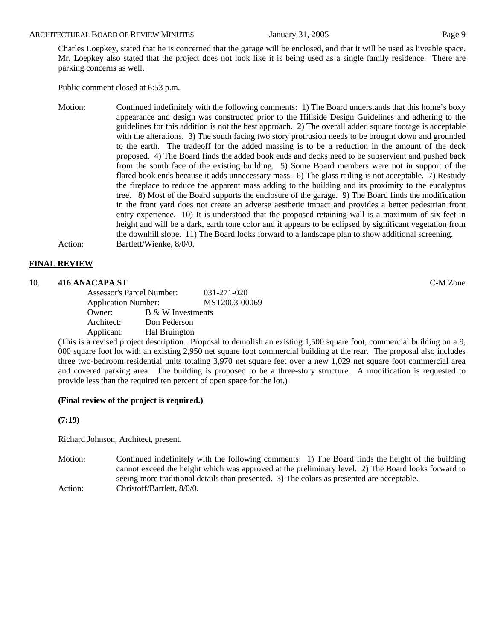#### ARCHITECTURAL BOARD OF REVIEW MINUTES January 31, 2005 **Page 9**

# Charles Loepkey, stated that he is concerned that the garage will be enclosed, and that it will be used as liveable space. Mr. Loepkey also stated that the project does not look like it is being used as a single family residence. There are parking concerns as well.

Public comment closed at 6:53 p.m.

Motion: Continued indefinitely with the following comments: 1) The Board understands that this home's boxy appearance and design was constructed prior to the Hillside Design Guidelines and adhering to the guidelines for this addition is not the best approach. 2) The overall added square footage is acceptable with the alterations. 3) The south facing two story protrusion needs to be brought down and grounded to the earth. The tradeoff for the added massing is to be a reduction in the amount of the deck proposed. 4) The Board finds the added book ends and decks need to be subservient and pushed back from the south face of the existing building. 5) Some Board members were not in support of the flared book ends because it adds unnecessary mass. 6) The glass railing is not acceptable. 7) Restudy the fireplace to reduce the apparent mass adding to the building and its proximity to the eucalyptus tree. 8) Most of the Board supports the enclosure of the garage. 9) The Board finds the modification in the front yard does not create an adverse aesthetic impact and provides a better pedestrian front entry experience. 10) It is understood that the proposed retaining wall is a maximum of six-feet in height and will be a dark, earth tone color and it appears to be eclipsed by significant vegetation from the downhill slope. 11) The Board looks forward to a landscape plan to show additional screening. Action: Bartlett/Wienke,  $8/0/0$ .

## **FINAL REVIEW**

## 10. **416 ANACAPA ST** C-M Zone

 Assessor's Parcel Number: 031-271-020 Application Number: MST2003-00069 Owner: B & W Investments Architect: Don Pederson Applicant: Hal Bruington

(This is a revised project description. Proposal to demolish an existing 1,500 square foot, commercial building on a 9, 000 square foot lot with an existing 2,950 net square foot commercial building at the rear. The proposal also includes three two-bedroom residential units totaling 3,970 net square feet over a new 1,029 net square foot commercial area and covered parking area. The building is proposed to be a three-story structure. A modification is requested to provide less than the required ten percent of open space for the lot.)

#### **(Final review of the project is required.)**

**(7:19)** 

Richard Johnson, Architect, present.

Motion: Continued indefinitely with the following comments: 1) The Board finds the height of the building cannot exceed the height which was approved at the preliminary level. 2) The Board looks forward to seeing more traditional details than presented. 3) The colors as presented are acceptable. Action: Christoff/Bartlett, 8/0/0.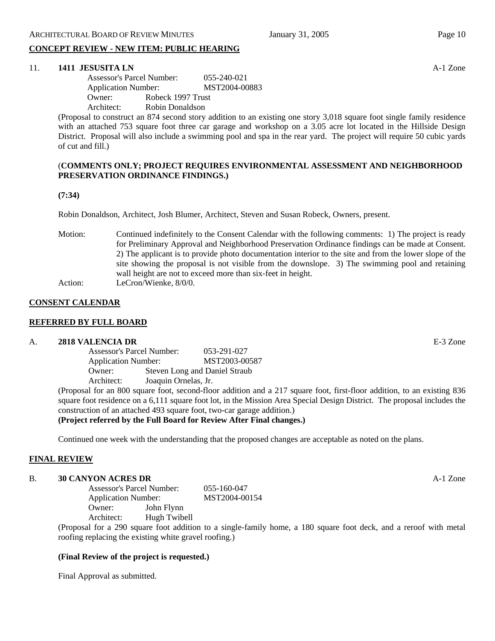## **CONCEPT REVIEW - NEW ITEM: PUBLIC HEARING**

#### 11. **1411 JESUSITA LN** A-1 Zone

|            | Assessor's Parcel Number:  |  |
|------------|----------------------------|--|
|            | <b>Application Number:</b> |  |
| Owner:     | Robeck 1997 Trust          |  |
| Architect: | Robin Donaldson            |  |

(Proposal to construct an 874 second story addition to an existing one story 3,018 square foot single family residence with an attached 753 square foot three car garage and workshop on a 3.05 acre lot located in the Hillside Design District. Proposal will also include a swimming pool and spa in the rear yard. The project will require 50 cubic yards of cut and fill.)

#### (**COMMENTS ONLY; PROJECT REQUIRES ENVIRONMENTAL ASSESSMENT AND NEIGHBORHOOD PRESERVATION ORDINANCE FINDINGS.)**

## **(7:34)**

Robin Donaldson, Architect, Josh Blumer, Architect, Steven and Susan Robeck, Owners, present.

Motion: Continued indefinitely to the Consent Calendar with the following comments: 1) The project is ready for Preliminary Approval and Neighborhood Preservation Ordinance findings can be made at Consent. 2) The applicant is to provide photo documentation interior to the site and from the lower slope of the site showing the proposal is not visible from the downslope. 3) The swimming pool and retaining wall height are not to exceed more than six-feet in height. Action: LeCron/Wienke,  $8/0/0$ .

## **CONSENT CALENDAR**

#### **REFERRED BY FULL BOARD**

#### A. **2818 VALENCIA DR** E-3 Zone

 Assessor's Parcel Number: 053-291-027 Application Number: MST2003-00587 Owner: Steven Long and Daniel Straub Architect: Joaquin Ornelas, Jr.

(Proposal for an 800 square foot, second-floor addition and a 217 square foot, first-floor addition, to an existing 836 square foot residence on a 6,111 square foot lot, in the Mission Area Special Design District. The proposal includes the construction of an attached 493 square foot, two-car garage addition.)

**(Project referred by the Full Board for Review After Final changes.)** 

Continued one week with the understanding that the proposed changes are acceptable as noted on the plans.

#### **FINAL REVIEW**

#### B. **30 CANYON ACRES DR A-1** Zone

 Assessor's Parcel Number: 055-160-047 Application Number: MST2004-00154 Owner: John Flynn Architect: Hugh Twibell

(Proposal for a 290 square foot addition to a single-family home, a 180 square foot deck, and a reroof with metal roofing replacing the existing white gravel roofing.)

#### **(Final Review of the project is requested.)**

Final Approval as submitted.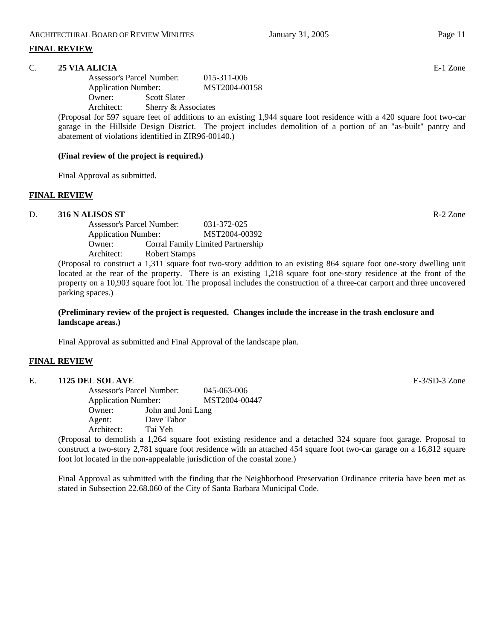## C. **25 VIA ALICIA** E-1 Zone

 Assessor's Parcel Number: 015-311-006 Application Number: MST2004-00158 Owner: Scott Slater

Architect: Sherry & Associates

(Proposal for 597 square feet of additions to an existing 1,944 square foot residence with a 420 square foot two-car garage in the Hillside Design District. The project includes demolition of a portion of an "as-built" pantry and abatement of violations identified in ZIR96-00140.)

## **(Final review of the project is required.)**

Final Approval as submitted.

## **FINAL REVIEW**

## D. **316 N ALISOS ST** R-2 Zone

 Assessor's Parcel Number: 031-372-025 Application Number: MST2004-00392 Owner: Corral Family Limited Partnership Architect: Robert Stamps

(Proposal to construct a 1,311 square foot two-story addition to an existing 864 square foot one-story dwelling unit located at the rear of the property. There is an existing 1,218 square foot one-story residence at the front of the property on a 10,903 square foot lot. The proposal includes the construction of a three-car carport and three uncovered parking spaces.)

#### **(Preliminary review of the project is requested. Changes include the increase in the trash enclosure and landscape areas.)**

Final Approval as submitted and Final Approval of the landscape plan.

#### **FINAL REVIEW**

#### E. **1125 DEL SOL AVE E-3/SD-3 Zone**

 Assessor's Parcel Number: 045-063-006 Application Number: MST2004-00447 Owner: John and Joni Lang Agent: Dave Tabor Architect: Tai Yeh

(Proposal to demolish a 1,264 square foot existing residence and a detached 324 square foot garage. Proposal to construct a two-story 2,781 square foot residence with an attached 454 square foot two-car garage on a 16,812 square foot lot located in the non-appealable jurisdiction of the coastal zone.)

Final Approval as submitted with the finding that the Neighborhood Preservation Ordinance criteria have been met as stated in Subsection 22.68.060 of the City of Santa Barbara Municipal Code.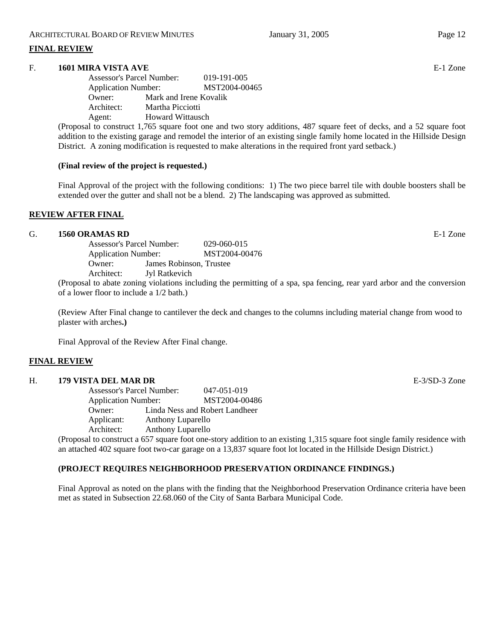#### **FINAL REVIEW**

#### F. **1601 MIRA VISTA AVE** E-1 Zone

|            | Assessor's Parcel Number:  |  |
|------------|----------------------------|--|
|            | <b>Application Number:</b> |  |
| Owner:     | Mark and Irene Kovalik     |  |
| Architect: | Martha Picciotti           |  |
| Agent:     | <b>Howard Wittausch</b>    |  |

(Proposal to construct 1,765 square foot one and two story additions, 487 square feet of decks, and a 52 square foot addition to the existing garage and remodel the interior of an existing single family home located in the Hillside Design District. A zoning modification is requested to make alterations in the required front yard setback.)

## **(Final review of the project is requested.)**

Final Approval of the project with the following conditions: 1) The two piece barrel tile with double boosters shall be extended over the gutter and shall not be a blend. 2) The landscaping was approved as submitted.

## **REVIEW AFTER FINAL**

#### G. **1560 ORAMAS RD** E-1 Zone

 Assessor's Parcel Number: 029-060-015 Application Number: MST2004-00476 Owner: James Robinson, Trustee Architect: Jyl Ratkevich

(Proposal to abate zoning violations including the permitting of a spa, spa fencing, rear yard arbor and the conversion of a lower floor to include a 1/2 bath.)

(Review After Final change to cantilever the deck and changes to the columns including material change from wood to plaster with arches**.)** 

Final Approval of the Review After Final change.

#### **FINAL REVIEW**

#### H. **179 VISTA DEL MAR DR** E-3/SD-3 Zone

 Assessor's Parcel Number: 047-051-019 Application Number: MST2004-00486 Owner: Linda Ness and Robert Landheer Applicant: Anthony Luparello Architect: Anthony Luparello

(Proposal to construct a 657 square foot one-story addition to an existing 1,315 square foot single family residence with an attached 402 square foot two-car garage on a 13,837 square foot lot located in the Hillside Design District.)

## **(PROJECT REQUIRES NEIGHBORHOOD PRESERVATION ORDINANCE FINDINGS.)**

Final Approval as noted on the plans with the finding that the Neighborhood Preservation Ordinance criteria have been met as stated in Subsection 22.68.060 of the City of Santa Barbara Municipal Code.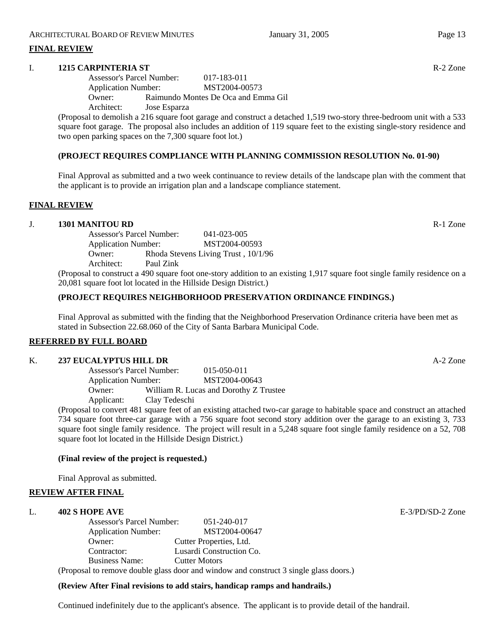## **FINAL REVIEW**

## I. **1215 CARPINTERIA ST** R-2 Zone

 Assessor's Parcel Number: 017-183-011 Application Number: MST2004-00573 Owner: Raimundo Montes De Oca and Emma Gil Architect: Jose Esparza

(Proposal to demolish a 216 square foot garage and construct a detached 1,519 two-story three-bedroom unit with a 533 square foot garage. The proposal also includes an addition of 119 square feet to the existing single-story residence and two open parking spaces on the 7,300 square foot lot.)

## **(PROJECT REQUIRES COMPLIANCE WITH PLANNING COMMISSION RESOLUTION No. 01-90)**

Final Approval as submitted and a two week continuance to review details of the landscape plan with the comment that the applicant is to provide an irrigation plan and a landscape compliance statement.

## **FINAL REVIEW**

## J. **1301 MANITOU RD** Research 2008 **R** R-1 Zone

 Assessor's Parcel Number: 041-023-005 Application Number: MST2004-00593 Owner: Rhoda Stevens Living Trust , 10/1/96 Architect: Paul Zink

(Proposal to construct a 490 square foot one-story addition to an existing 1,917 square foot single family residence on a 20,081 square foot lot located in the Hillside Design District.)

## **(PROJECT REQUIRES NEIGHBORHOOD PRESERVATION ORDINANCE FINDINGS.)**

Final Approval as submitted with the finding that the Neighborhood Preservation Ordinance criteria have been met as stated in Subsection 22.68.060 of the City of Santa Barbara Municipal Code.

#### **REFERRED BY FULL BOARD**

#### K. **237 EUCALYPTUS HILL DR** A-2 Zone

 Assessor's Parcel Number: 015-050-011 Application Number: MST2004-00643 Owner: William R. Lucas and Dorothy Z Trustee Applicant: Clay Tedeschi

(Proposal to convert 481 square feet of an existing attached two-car garage to habitable space and construct an attached 734 square foot three-car garage with a 756 square foot second story addition over the garage to an existing 3, 733 square foot single family residence. The project will result in a 5,248 square foot single family residence on a 52, 708 square foot lot located in the Hillside Design District.)

#### **(Final review of the project is requested.)**

Final Approval as submitted.

#### **REVIEW AFTER FINAL**

# L. **402 S HOPE AVE** E-3/PD/SD-2 Zone

 Assessor's Parcel Number: 051-240-017 Application Number: MST2004-00647 Owner: Cutter Properties, Ltd. Contractor: Lusardi Construction Co. Business Name: Cutter Motors (Proposal to remove double glass door and window and construct 3 single glass doors.)

## **(Review After Final revisions to add stairs, handicap ramps and handrails.)**

Continued indefinitely due to the applicant's absence. The applicant is to provide detail of the handrail.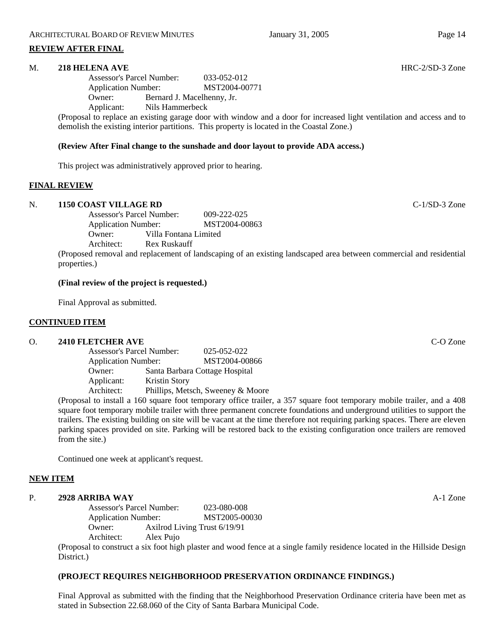## **REVIEW AFTER FINAL**

#### M. **218 HELENA AVE** HRC-2/SD-3 Zone

 Assessor's Parcel Number: 033-052-012 Application Number: MST2004-00771 Owner: Bernard J. Macelhenny, Jr. Applicant: Nils Hammerbeck

(Proposal to replace an existing garage door with window and a door for increased light ventilation and access and to demolish the existing interior partitions. This property is located in the Coastal Zone.)

#### **(Review After Final change to the sunshade and door layout to provide ADA access.)**

This project was administratively approved prior to hearing.

#### **FINAL REVIEW**

## N. **1150 COAST VILLAGE RD** C-1/SD-3 Zone

 Assessor's Parcel Number: 009-222-025 Application Number: MST2004-00863 Owner: Villa Fontana Limited Architect: Rex Ruskauff

(Proposed removal and replacement of landscaping of an existing landscaped area between commercial and residential properties.)

#### **(Final review of the project is requested.)**

Final Approval as submitted.

#### **CONTINUED ITEM**

#### O. **2410 FLETCHER AVE** C-O Zone

 Assessor's Parcel Number: 025-052-022 Application Number: MST2004-00866 Owner: Santa Barbara Cottage Hospital Applicant: Kristin Story Architect: Phillips, Metsch, Sweeney & Moore

(Proposal to install a 160 square foot temporary office trailer, a 357 square foot temporary mobile trailer, and a 408 square foot temporary mobile trailer with three permanent concrete foundations and underground utilities to support the trailers. The existing building on site will be vacant at the time therefore not requiring parking spaces. There are eleven parking spaces provided on site. Parking will be restored back to the existing configuration once trailers are removed from the site.)

Continued one week at applicant's request.

#### **NEW ITEM**

#### P. **2928 ARRIBA WAY A-1** Zone

 Assessor's Parcel Number: 023-080-008 Application Number: MST2005-00030 Owner: Axilrod Living Trust 6/19/91 Architect: Alex Pujo

(Proposal to construct a six foot high plaster and wood fence at a single family residence located in the Hillside Design District.)

# **(PROJECT REQUIRES NEIGHBORHOOD PRESERVATION ORDINANCE FINDINGS.)**

Final Approval as submitted with the finding that the Neighborhood Preservation Ordinance criteria have been met as stated in Subsection 22.68.060 of the City of Santa Barbara Municipal Code.